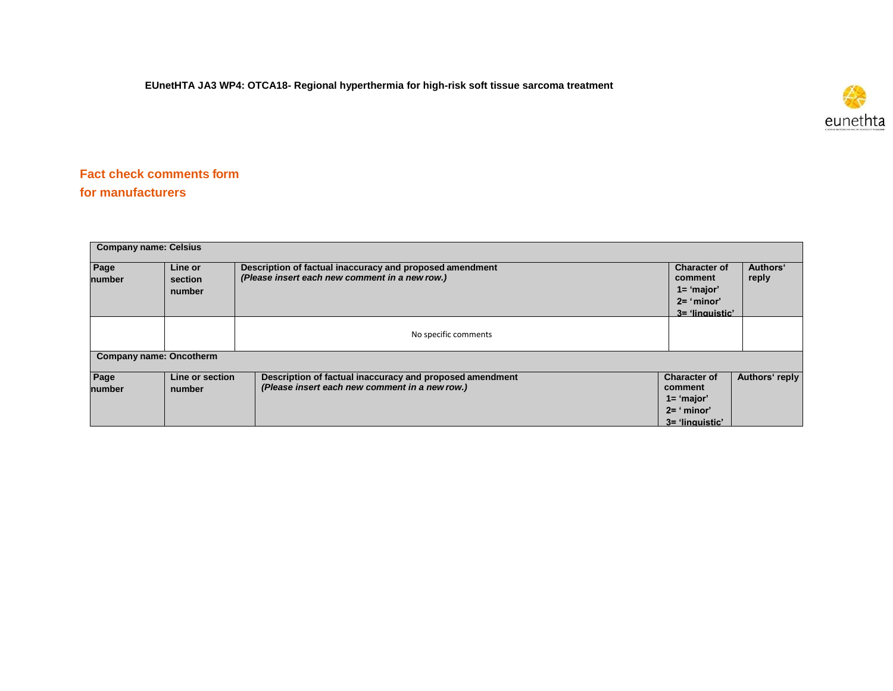eunethta

**Fact check comments form for manufacturers**

| <b>Company name: Celsius</b>   |                              |                                                                                                            |                                                                                     |                   |  |  |
|--------------------------------|------------------------------|------------------------------------------------------------------------------------------------------------|-------------------------------------------------------------------------------------|-------------------|--|--|
| Page<br>number                 | Line or<br>section<br>number | Description of factual inaccuracy and proposed amendment<br>(Please insert each new comment in a new row.) | <b>Character of</b><br>comment<br>$1 = 'major'$<br>$2 = 'minor'$<br>3= 'linguistic' | Authors'<br>reply |  |  |
|                                |                              | No specific comments                                                                                       |                                                                                     |                   |  |  |
| <b>Company name: Oncotherm</b> |                              |                                                                                                            |                                                                                     |                   |  |  |
| Page<br>number                 | Line or section<br>number    | Description of factual inaccuracy and proposed amendment<br>(Please insert each new comment in a new row.) | <b>Character of</b><br>comment<br>$1 = 'major'$<br>$2 = 'minor'$<br>3= 'linguistic' | Authors' reply    |  |  |

**EUnetHTA JA3 WP4: OTCA18- Regional hyperthermia for high-risk soft tissue sarcoma treatment**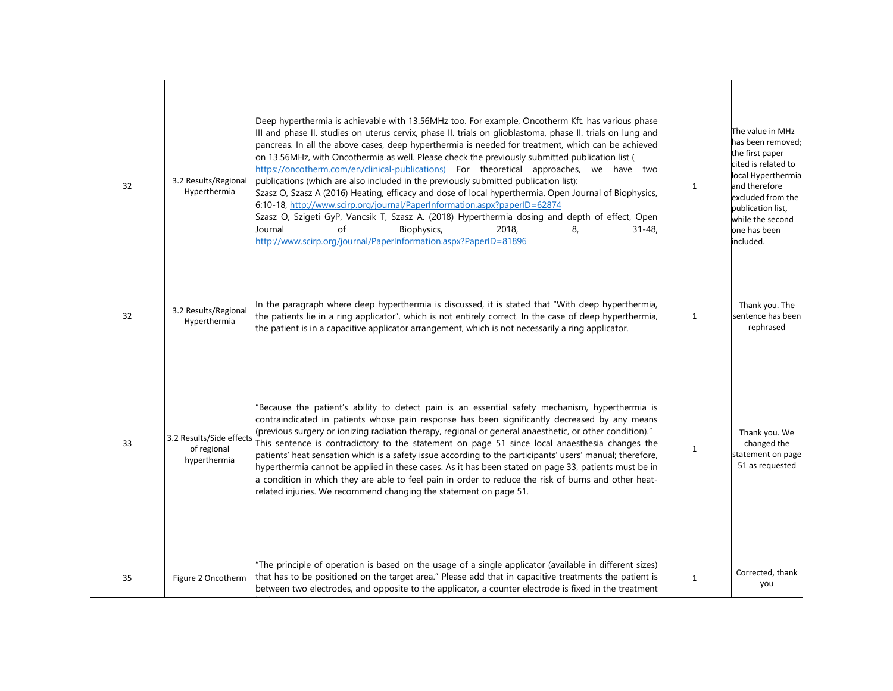| 32 | 3.2 Results/Regional<br>Hyperthermia                    | Deep hyperthermia is achievable with 13.56MHz too. For example, Oncotherm Kft. has various phase<br>III and phase II. studies on uterus cervix, phase II. trials on glioblastoma, phase II. trials on lung and<br>pancreas. In all the above cases, deep hyperthermia is needed for treatment, which can be achieved<br>on 13.56MHz, with Oncothermia as well. Please check the previously submitted publication list (<br>https://oncotherm.com/en/clinical-publications) For theoretical approaches, we have two<br>publications (which are also included in the previously submitted publication list):<br>Szasz O, Szasz A (2016) Heating, efficacy and dose of local hyperthermia. Open Journal of Biophysics,<br>6:10-18, http://www.scirp.org/journal/PaperInformation.aspx?paperID=62874<br>Szasz O, Szigeti GyP, Vancsik T, Szasz A. (2018) Hyperthermia dosing and depth of effect, Open<br>Journal<br>of<br>Biophysics,<br>2018.<br>8.<br>$31 - 48.$<br>http://www.scirp.org/journal/PaperInformation.aspx?PaperID=81896 | $\mathbf{1}$ | The value in MHz<br>has been removed;<br>the first paper<br>cited is related to<br>local Hyperthermia<br>and therefore<br>excluded from the<br>publication list,<br>while the second<br>one has been<br>included. |
|----|---------------------------------------------------------|-------------------------------------------------------------------------------------------------------------------------------------------------------------------------------------------------------------------------------------------------------------------------------------------------------------------------------------------------------------------------------------------------------------------------------------------------------------------------------------------------------------------------------------------------------------------------------------------------------------------------------------------------------------------------------------------------------------------------------------------------------------------------------------------------------------------------------------------------------------------------------------------------------------------------------------------------------------------------------------------------------------------------------------|--------------|-------------------------------------------------------------------------------------------------------------------------------------------------------------------------------------------------------------------|
| 32 | 3.2 Results/Regional<br>Hyperthermia                    | In the paragraph where deep hyperthermia is discussed, it is stated that "With deep hyperthermia,<br>the patients lie in a ring applicator", which is not entirely correct. In the case of deep hyperthermia,<br>the patient is in a capacitive applicator arrangement, which is not necessarily a ring applicator.                                                                                                                                                                                                                                                                                                                                                                                                                                                                                                                                                                                                                                                                                                                 | $\mathbf{1}$ | Thank you. The<br>sentence has been<br>rephrased                                                                                                                                                                  |
| 33 | 3.2 Results/Side effects<br>of regional<br>hyperthermia | Because the patient's ability to detect pain is an essential safety mechanism, hyperthermia is<br>contraindicated in patients whose pain response has been significantly decreased by any means<br>(previous surgery or ionizing radiation therapy, regional or general anaesthetic, or other condition)."<br>This sentence is contradictory to the statement on page 51 since local anaesthesia changes the<br>patients' heat sensation which is a safety issue according to the participants' users' manual; therefore,<br>hyperthermia cannot be applied in these cases. As it has been stated on page 33, patients must be in<br>a condition in which they are able to feel pain in order to reduce the risk of burns and other heat-<br>related injuries. We recommend changing the statement on page 51.                                                                                                                                                                                                                      | $\mathbf{1}$ | Thank you. We<br>changed the<br>statement on page<br>51 as requested                                                                                                                                              |
| 35 | Figure 2 Oncotherm                                      | The principle of operation is based on the usage of a single applicator (available in different sizes)<br>that has to be positioned on the target area." Please add that in capacitive treatments the patient is<br>between two electrodes, and opposite to the applicator, a counter electrode is fixed in the treatment                                                                                                                                                                                                                                                                                                                                                                                                                                                                                                                                                                                                                                                                                                           | $\mathbf{1}$ | Corrected, thank<br>you                                                                                                                                                                                           |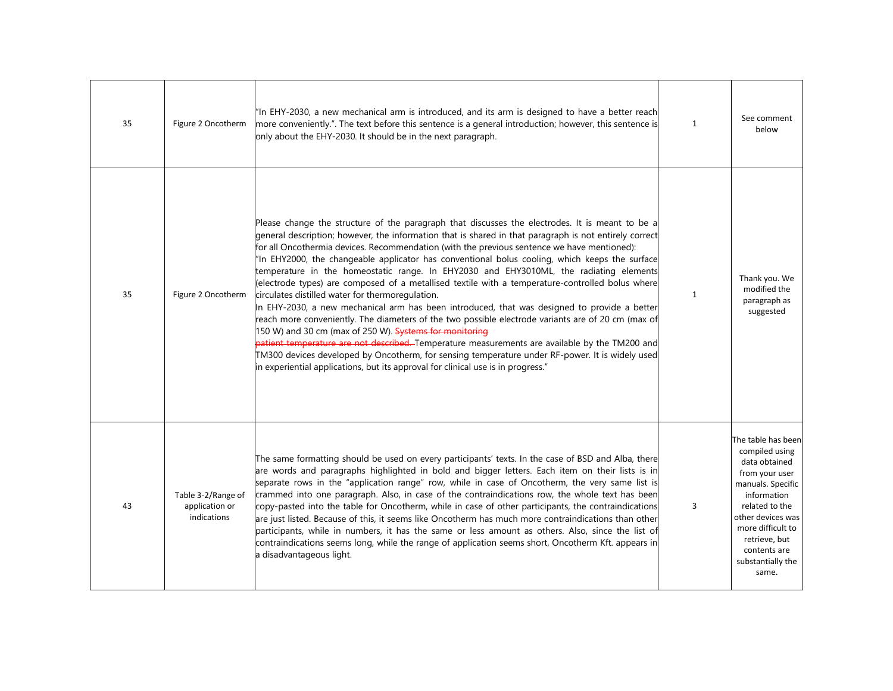| 35 | Figure 2 Oncotherm                                  | "In EHY-2030, a new mechanical arm is introduced, and its arm is designed to have a better reach<br>more conveniently.". The text before this sentence is a general introduction; however, this sentence is<br>only about the EHY-2030. It should be in the next paragraph.                                                                                                                                                                                                                                                                                                                                                                                                                                                                                                                                                                                                                                                                                                                                                                                                                                                                                                                                            | $\mathbf{1}$ | See comment<br>below                                                                                                                                                                                                                   |
|----|-----------------------------------------------------|------------------------------------------------------------------------------------------------------------------------------------------------------------------------------------------------------------------------------------------------------------------------------------------------------------------------------------------------------------------------------------------------------------------------------------------------------------------------------------------------------------------------------------------------------------------------------------------------------------------------------------------------------------------------------------------------------------------------------------------------------------------------------------------------------------------------------------------------------------------------------------------------------------------------------------------------------------------------------------------------------------------------------------------------------------------------------------------------------------------------------------------------------------------------------------------------------------------------|--------------|----------------------------------------------------------------------------------------------------------------------------------------------------------------------------------------------------------------------------------------|
| 35 | Figure 2 Oncotherm                                  | Please change the structure of the paragraph that discusses the electrodes. It is meant to be a<br>general description; however, the information that is shared in that paragraph is not entirely correct<br>for all Oncothermia devices. Recommendation (with the previous sentence we have mentioned):<br>"In EHY2000, the changeable applicator has conventional bolus cooling, which keeps the surface<br>temperature in the homeostatic range. In EHY2030 and EHY3010ML, the radiating elements<br>(electrode types) are composed of a metallised textile with a temperature-controlled bolus where<br>circulates distilled water for thermoregulation.<br>In EHY-2030, a new mechanical arm has been introduced, that was designed to provide a better<br>reach more conveniently. The diameters of the two possible electrode variants are of 20 cm (max of<br>150 W) and 30 cm (max of 250 W). Systems for monitoring<br>patient temperature are not described. Temperature measurements are available by the TM200 and<br>TM300 devices developed by Oncotherm, for sensing temperature under RF-power. It is widely used<br>in experiential applications, but its approval for clinical use is in progress." | $\mathbf{1}$ | Thank you. We<br>modified the<br>paragraph as<br>suggested                                                                                                                                                                             |
| 43 | Table 3-2/Range of<br>application or<br>indications | The same formatting should be used on every participants' texts. In the case of BSD and Alba, there<br>are words and paragraphs highlighted in bold and bigger letters. Each item on their lists is in<br>separate rows in the "application range" row, while in case of Oncotherm, the very same list is<br>crammed into one paragraph. Also, in case of the contraindications row, the whole text has been<br>copy-pasted into the table for Oncotherm, while in case of other participants, the contraindications<br>are just listed. Because of this, it seems like Oncotherm has much more contraindications than other<br>participants, while in numbers, it has the same or less amount as others. Also, since the list of<br>contraindications seems long, while the range of application seems short, Oncotherm Kft. appears in<br>a disadvantageous light.                                                                                                                                                                                                                                                                                                                                                   | 3            | The table has been<br>compiled using<br>data obtained<br>from your user<br>manuals. Specific<br>information<br>related to the<br>other devices was<br>more difficult to<br>retrieve, but<br>contents are<br>substantially the<br>same. |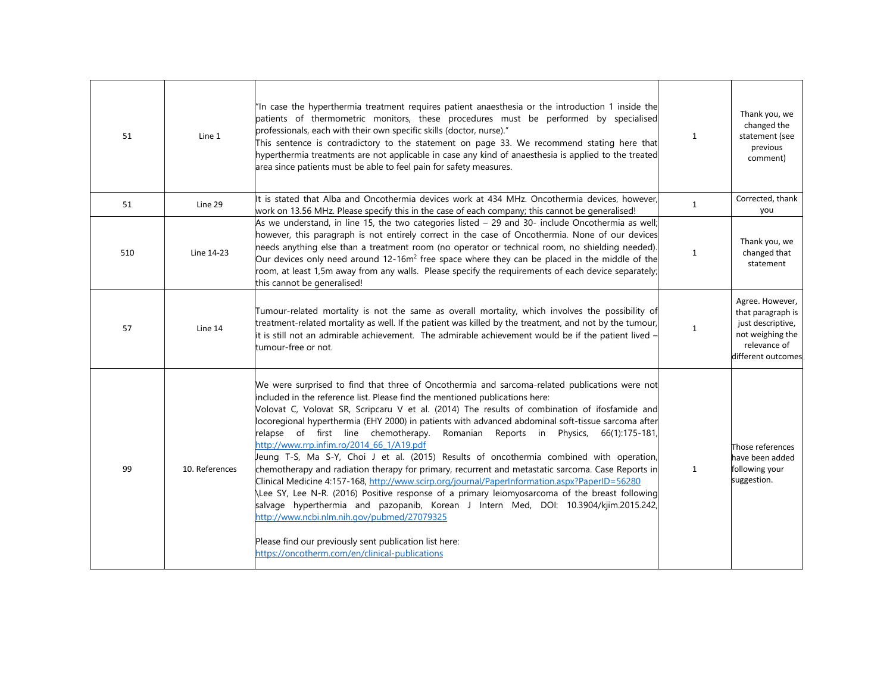| 51  | Line 1         | "In case the hyperthermia treatment requires patient anaesthesia or the introduction 1 inside the<br>patients of thermometric monitors, these procedures must be performed by specialised<br>professionals, each with their own specific skills (doctor, nurse)."<br>This sentence is contradictory to the statement on page 33. We recommend stating here that<br>hyperthermia treatments are not applicable in case any kind of anaesthesia is applied to the treated<br>area since patients must be able to feel pain for safety measures.                                                                                                                                                                                                                                                                                                                                                                                                                                                                                                                                                                                                                                | $\mathbf{1}$ | Thank you, we<br>changed the<br>statement (see<br>previous<br>comment)                                              |
|-----|----------------|------------------------------------------------------------------------------------------------------------------------------------------------------------------------------------------------------------------------------------------------------------------------------------------------------------------------------------------------------------------------------------------------------------------------------------------------------------------------------------------------------------------------------------------------------------------------------------------------------------------------------------------------------------------------------------------------------------------------------------------------------------------------------------------------------------------------------------------------------------------------------------------------------------------------------------------------------------------------------------------------------------------------------------------------------------------------------------------------------------------------------------------------------------------------------|--------------|---------------------------------------------------------------------------------------------------------------------|
| 51  | Line 29        | It is stated that Alba and Oncothermia devices work at 434 MHz. Oncothermia devices, however,<br>work on 13.56 MHz. Please specify this in the case of each company; this cannot be generalised!                                                                                                                                                                                                                                                                                                                                                                                                                                                                                                                                                                                                                                                                                                                                                                                                                                                                                                                                                                             | $\mathbf{1}$ | Corrected, thank<br>you                                                                                             |
| 510 | Line 14-23     | As we understand, in line 15, the two categories listed $-$ 29 and 30- include Oncothermia as well;<br>however, this paragraph is not entirely correct in the case of Oncothermia. None of our devices<br>needs anything else than a treatment room (no operator or technical room, no shielding needed).<br>Our devices only need around 12-16m <sup>2</sup> free space where they can be placed in the middle of the<br>room, at least 1,5m away from any walls. Please specify the requirements of each device separately;<br>this cannot be generalised!                                                                                                                                                                                                                                                                                                                                                                                                                                                                                                                                                                                                                 | $\mathbf{1}$ | Thank you, we<br>changed that<br>statement                                                                          |
| 57  | Line 14        | Tumour-related mortality is not the same as overall mortality, which involves the possibility of<br>treatment-related mortality as well. If the patient was killed by the treatment, and not by the tumour,<br>it is still not an admirable achievement. The admirable achievement would be if the patient lived -<br>tumour-free or not.                                                                                                                                                                                                                                                                                                                                                                                                                                                                                                                                                                                                                                                                                                                                                                                                                                    | $\mathbf{1}$ | Agree. However,<br>that paragraph is<br>just descriptive,<br>not weighing the<br>relevance of<br>different outcomes |
| 99  | 10. References | We were surprised to find that three of Oncothermia and sarcoma-related publications were not<br>included in the reference list. Please find the mentioned publications here:<br>Volovat C, Volovat SR, Scripcaru V et al. (2014) The results of combination of ifosfamide and<br>locoregional hyperthermia (EHY 2000) in patients with advanced abdominal soft-tissue sarcoma after<br>relapse of first line chemotherapy. Romanian Reports in Physics,<br>66(1):175-181,<br>http://www.rrp.infim.ro/2014 66 1/A19.pdf<br>Jeung T-S, Ma S-Y, Choi J et al. (2015) Results of oncothermia combined with operation,<br>chemotherapy and radiation therapy for primary, recurrent and metastatic sarcoma. Case Reports in<br>Clinical Medicine 4:157-168, http://www.scirp.org/journal/PaperInformation.aspx?PaperID=56280<br>Lee SY, Lee N-R. (2016) Positive response of a primary leiomyosarcoma of the breast following<br>salvage hyperthermia and pazopanib, Korean J Intern Med, DOI: 10.3904/kjim.2015.242,<br>http://www.ncbi.nlm.nih.gov/pubmed/27079325<br>Please find our previously sent publication list here:<br>https://oncotherm.com/en/clinical-publications | $\mathbf{1}$ | Those references<br>have been added<br>following your<br>suggestion.                                                |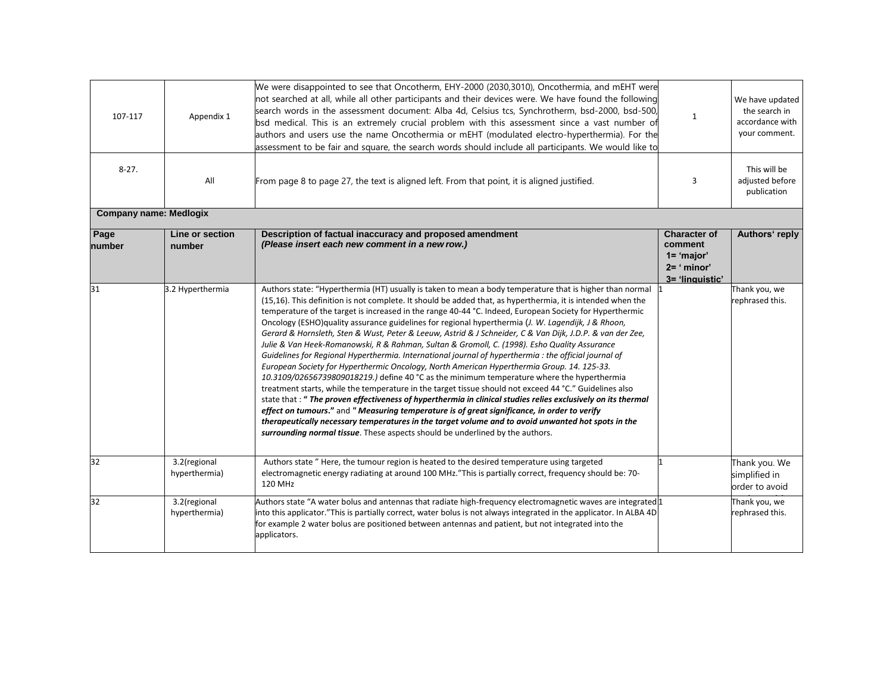| 107-117                       | Appendix 1                    | We were disappointed to see that Oncotherm, EHY-2000 (2030,3010), Oncothermia, and mEHT were<br>not searched at all, while all other participants and their devices were. We have found the following<br>search words in the assessment document: Alba 4d, Celsius tcs, Synchrotherm, bsd-2000, bsd-500,<br>bsd medical. This is an extremely crucial problem with this assessment since a vast number of<br>authors and users use the name Oncothermia or mEHT (modulated electro-hyperthermia). For the<br>assessment to be fair and square, the search words should include all participants. We would like to                                                                                                                                                                                                                                                                                                                                                                                                                                                                                                                                                                                                                                                                                                                                                                                                                                                            | $\mathbf{1}$                                                                        | We have updated<br>the search in<br>accordance with<br>your comment. |
|-------------------------------|-------------------------------|------------------------------------------------------------------------------------------------------------------------------------------------------------------------------------------------------------------------------------------------------------------------------------------------------------------------------------------------------------------------------------------------------------------------------------------------------------------------------------------------------------------------------------------------------------------------------------------------------------------------------------------------------------------------------------------------------------------------------------------------------------------------------------------------------------------------------------------------------------------------------------------------------------------------------------------------------------------------------------------------------------------------------------------------------------------------------------------------------------------------------------------------------------------------------------------------------------------------------------------------------------------------------------------------------------------------------------------------------------------------------------------------------------------------------------------------------------------------------|-------------------------------------------------------------------------------------|----------------------------------------------------------------------|
| $8-27.$                       | All                           | From page 8 to page 27, the text is aligned left. From that point, it is aligned justified.                                                                                                                                                                                                                                                                                                                                                                                                                                                                                                                                                                                                                                                                                                                                                                                                                                                                                                                                                                                                                                                                                                                                                                                                                                                                                                                                                                                  | 3                                                                                   | This will be<br>adjusted before<br>publication                       |
| <b>Company name: Medlogix</b> |                               |                                                                                                                                                                                                                                                                                                                                                                                                                                                                                                                                                                                                                                                                                                                                                                                                                                                                                                                                                                                                                                                                                                                                                                                                                                                                                                                                                                                                                                                                              |                                                                                     |                                                                      |
| Page<br>number                | Line or section<br>number     | Description of factual inaccuracy and proposed amendment<br>(Please insert each new comment in a new row.)                                                                                                                                                                                                                                                                                                                                                                                                                                                                                                                                                                                                                                                                                                                                                                                                                                                                                                                                                                                                                                                                                                                                                                                                                                                                                                                                                                   | <b>Character of</b><br>comment<br>$1 = 'major'$<br>$2 = 'minor'$<br>3= 'linguistic' | Authors' reply                                                       |
| 31                            | 3.2 Hyperthermia              | Authors state: "Hyperthermia (HT) usually is taken to mean a body temperature that is higher than normal<br>(15,16). This definition is not complete. It should be added that, as hyperthermia, it is intended when the<br>temperature of the target is increased in the range 40-44 °C. Indeed, European Society for Hyperthermic<br>Oncology (ESHO)quality assurance guidelines for regional hyperthermia (J. W. Lagendijk, J & Rhoon,<br>Gerard & Hornsleth, Sten & Wust, Peter & Leeuw, Astrid & J Schneider, C & Van Dijk, J.D.P. & van der Zee,<br>Julie & Van Heek-Romanowski, R & Rahman, Sultan & Gromoll, C. (1998). Esho Quality Assurance<br>Guidelines for Regional Hyperthermia. International journal of hyperthermia : the official journal of<br>European Society for Hyperthermic Oncology, North American Hyperthermia Group. 14. 125-33.<br>10.3109/02656739809018219.) define 40 °C as the minimum temperature where the hyperthermia<br>treatment starts, while the temperature in the target tissue should not exceed 44 °C." Guidelines also<br>state that : " The proven effectiveness of hyperthermia in clinical studies relies exclusively on its thermal<br>effect on tumours." and " Measuring temperature is of great significance, in order to verify<br>therapeutically necessary temperatures in the target volume and to avoid unwanted hot spots in the<br>surrounding normal tissue. These aspects should be underlined by the authors. |                                                                                     | Thank you, we<br>rephrased this.                                     |
| 32                            | 3.2(regional<br>hyperthermia) | Authors state" Here, the tumour region is heated to the desired temperature using targeted<br>electromagnetic energy radiating at around 100 MHz."This is partially correct, frequency should be: 70-<br>120 MHz                                                                                                                                                                                                                                                                                                                                                                                                                                                                                                                                                                                                                                                                                                                                                                                                                                                                                                                                                                                                                                                                                                                                                                                                                                                             |                                                                                     | Thank you. We<br>simplified in<br>order to avoid                     |
| 32                            | 3.2(regional<br>hyperthermia) | Authors state "A water bolus and antennas that radiate high-frequency electromagnetic waves are integrated 1<br>into this applicator."This is partially correct, water bolus is not always integrated in the applicator. In ALBA 4D<br>for example 2 water bolus are positioned between antennas and patient, but not integrated into the<br>applicators.                                                                                                                                                                                                                                                                                                                                                                                                                                                                                                                                                                                                                                                                                                                                                                                                                                                                                                                                                                                                                                                                                                                    |                                                                                     | Thank you, we<br>rephrased this.                                     |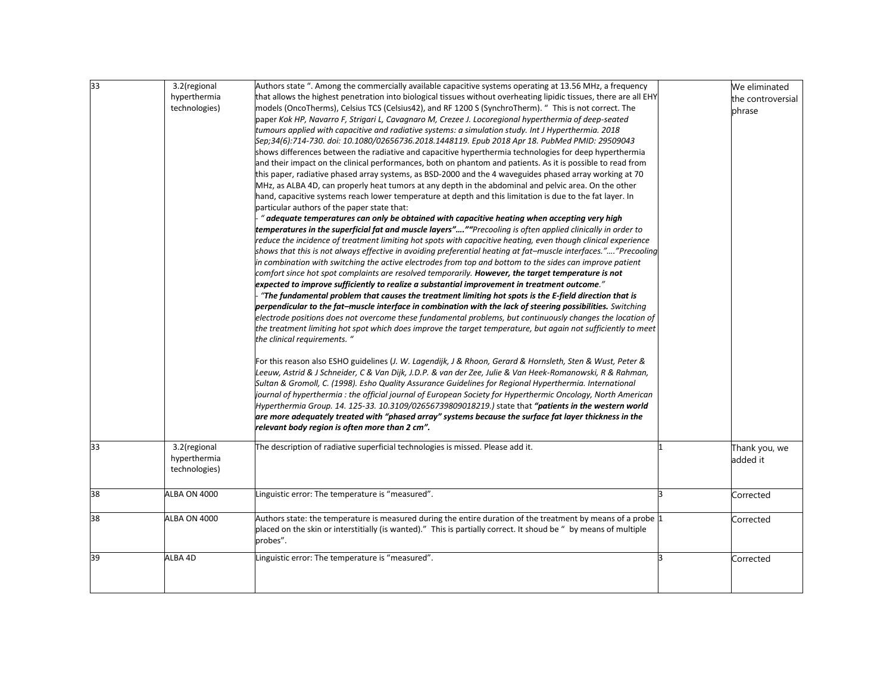| 33 | 3.2(regional<br>hyperthermia                  | Authors state ". Among the commercially available capacitive systems operating at 13.56 MHz, a frequency<br>that allows the highest penetration into biological tissues without overheating lipidic tissues, there are all EHY                                                                                                                                                                                                                                                                                                                                                                                                                                                                                                                                                                                                                                                                                                                                                                                                                                                                                                                                                                                                                                                                                                                                                                                                                                                                                                                                                                                                                                                                                                                                                                                                                                                                                                                                                                                                                                                                                                                                                                                                                                                                                                                                                                                                                                                                                                                                                                                                                                                                                                                                                                                                                                                                                                                                                                                                 |   | We eliminated               |
|----|-----------------------------------------------|--------------------------------------------------------------------------------------------------------------------------------------------------------------------------------------------------------------------------------------------------------------------------------------------------------------------------------------------------------------------------------------------------------------------------------------------------------------------------------------------------------------------------------------------------------------------------------------------------------------------------------------------------------------------------------------------------------------------------------------------------------------------------------------------------------------------------------------------------------------------------------------------------------------------------------------------------------------------------------------------------------------------------------------------------------------------------------------------------------------------------------------------------------------------------------------------------------------------------------------------------------------------------------------------------------------------------------------------------------------------------------------------------------------------------------------------------------------------------------------------------------------------------------------------------------------------------------------------------------------------------------------------------------------------------------------------------------------------------------------------------------------------------------------------------------------------------------------------------------------------------------------------------------------------------------------------------------------------------------------------------------------------------------------------------------------------------------------------------------------------------------------------------------------------------------------------------------------------------------------------------------------------------------------------------------------------------------------------------------------------------------------------------------------------------------------------------------------------------------------------------------------------------------------------------------------------------------------------------------------------------------------------------------------------------------------------------------------------------------------------------------------------------------------------------------------------------------------------------------------------------------------------------------------------------------------------------------------------------------------------------------------------------------|---|-----------------------------|
|    | technologies)                                 | models (OncoTherms), Celsius TCS (Celsius42), and RF 1200 S (SynchroTherm). " This is not correct. The<br>paper Kok HP, Navarro F, Strigari L, Cavagnaro M, Crezee J. Locoregional hyperthermia of deep-seated<br>tumours applied with capacitive and radiative systems: a simulation study. Int J Hyperthermia. 2018<br>Sep;34(6):714-730. doi: 10.1080/02656736.2018.1448119. Epub 2018 Apr 18. PubMed PMID: 29509043<br>shows differences between the radiative and capacitive hyperthermia technologies for deep hyperthermia<br>and their impact on the clinical performances, both on phantom and patients. As it is possible to read from<br>this paper, radiative phased array systems, as BSD-2000 and the 4 waveguides phased array working at 70<br>MHz, as ALBA 4D, can properly heat tumors at any depth in the abdominal and pelvic area. On the other<br>hand, capacitive systems reach lower temperature at depth and this limitation is due to the fat layer. In<br>particular authors of the paper state that:<br>$\degree$ adequate temperatures can only be obtained with capacitive heating when accepting very high<br>temperatures in the superficial fat and muscle layers"""Precooling is often applied clinically in order to<br>reduce the incidence of treatment limiting hot spots with capacitive heating, even though clinical experience<br>shows that this is not always effective in avoiding preferential heating at fat–muscle interfaces.""Precooling<br>in combination with switching the active electrodes from top and bottom to the sides can improve patient<br>comfort since hot spot complaints are resolved temporarily. However, the target temperature is not<br>expected to improve sufficiently to realize a substantial improvement in treatment outcome."<br>The fundamental problem that causes the treatment limiting hot spots is the E-field direction that is<br>perpendicular to the fat-muscle interface in combination with the lack of steering possibilities. Switching<br>electrode positions does not overcome these fundamental problems, but continuously changes the location of<br>the treatment limiting hot spot which does improve the target temperature, but again not sufficiently to meet<br>the clinical requirements. "<br>For this reason also ESHO guidelines (J. W. Lagendijk, J & Rhoon, Gerard & Hornsleth, Sten & Wust, Peter &<br>Leeuw, Astrid & J Schneider, C & Van Dijk, J.D.P. & van der Zee, Julie & Van Heek-Romanowski, R & Rahman,<br>Sultan & Gromoll, C. (1998). Esho Quality Assurance Guidelines for Regional Hyperthermia. International<br>journal of hyperthermia : the official journal of European Society for Hyperthermic Oncology, North American<br>Hyperthermia Group. 14. 125-33. 10.3109/02656739809018219.) state that "patients in the western world<br>are more adequately treated with "phased array" systems because the surface fat layer thickness in the<br>relevant body region is often more than 2 cm". |   | the controversial<br>phrase |
| 33 | 3.2(regional<br>hyperthermia<br>technologies) | The description of radiative superficial technologies is missed. Please add it.                                                                                                                                                                                                                                                                                                                                                                                                                                                                                                                                                                                                                                                                                                                                                                                                                                                                                                                                                                                                                                                                                                                                                                                                                                                                                                                                                                                                                                                                                                                                                                                                                                                                                                                                                                                                                                                                                                                                                                                                                                                                                                                                                                                                                                                                                                                                                                                                                                                                                                                                                                                                                                                                                                                                                                                                                                                                                                                                                |   | Thank you, we<br>added it   |
| 38 | ALBA ON 4000                                  | Linguistic error: The temperature is "measured".                                                                                                                                                                                                                                                                                                                                                                                                                                                                                                                                                                                                                                                                                                                                                                                                                                                                                                                                                                                                                                                                                                                                                                                                                                                                                                                                                                                                                                                                                                                                                                                                                                                                                                                                                                                                                                                                                                                                                                                                                                                                                                                                                                                                                                                                                                                                                                                                                                                                                                                                                                                                                                                                                                                                                                                                                                                                                                                                                                               |   | Corrected                   |
| 38 | ALBA ON 4000                                  | Authors state: the temperature is measured during the entire duration of the treatment by means of a probe 1<br>placed on the skin or interstitially (is wanted)." This is partially correct. It shoud be " by means of multiple<br>probes".                                                                                                                                                                                                                                                                                                                                                                                                                                                                                                                                                                                                                                                                                                                                                                                                                                                                                                                                                                                                                                                                                                                                                                                                                                                                                                                                                                                                                                                                                                                                                                                                                                                                                                                                                                                                                                                                                                                                                                                                                                                                                                                                                                                                                                                                                                                                                                                                                                                                                                                                                                                                                                                                                                                                                                                   |   | Corrected                   |
| 39 | ALBA 4D                                       | Linguistic error: The temperature is "measured".                                                                                                                                                                                                                                                                                                                                                                                                                                                                                                                                                                                                                                                                                                                                                                                                                                                                                                                                                                                                                                                                                                                                                                                                                                                                                                                                                                                                                                                                                                                                                                                                                                                                                                                                                                                                                                                                                                                                                                                                                                                                                                                                                                                                                                                                                                                                                                                                                                                                                                                                                                                                                                                                                                                                                                                                                                                                                                                                                                               | 3 | Corrected                   |